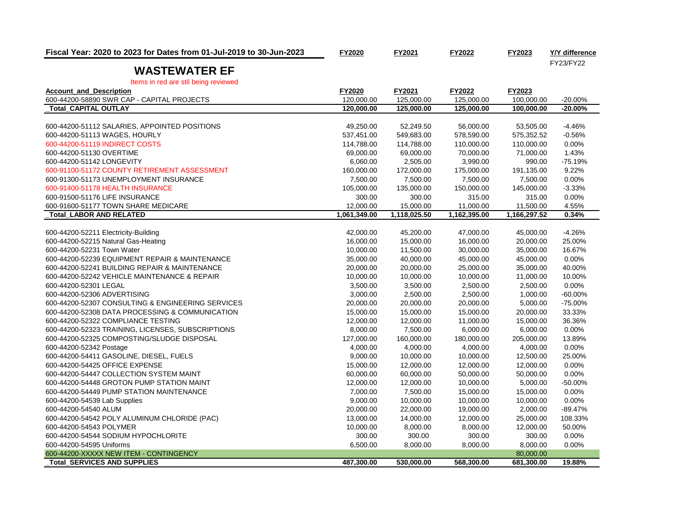| Fiscal Year: 2020 to 2023 for Dates from 01-Jul-2019 to 30-Jun-2023    | FY2020       | FY2021       | FY2022       | FY2023       | Y/Y difference |
|------------------------------------------------------------------------|--------------|--------------|--------------|--------------|----------------|
| <b>WASTEWATER EF</b>                                                   |              |              |              |              | FY23/FY22      |
|                                                                        |              |              |              |              |                |
| Items in red are stil being reviewed<br><b>Account and Description</b> | FY2020       | FY2021       | FY2022       | FY2023       |                |
| 600-44200-58890 SWR CAP - CAPITAL PROJECTS                             | 120.000.00   | 125,000.00   | 125.000.00   | 100,000.00   | $-20.00%$      |
| <b>Total CAPITAL OUTLAY</b>                                            | 120,000.00   | 125,000.00   | 125,000.00   | 100,000.00   | $-20.00%$      |
|                                                                        |              |              |              |              |                |
| 600-44200-51112 SALARIES, APPOINTED POSITIONS                          | 49.250.00    | 52.249.50    | 56,000.00    | 53,505.00    | $-4.46%$       |
| 600-44200-51113 WAGES, HOURLY                                          | 537,451.00   | 549,683.00   | 578,590.00   | 575,352.52   | $-0.56%$       |
| 600-44200-51119 INDIRECT COSTS                                         | 114,788.00   | 114,788.00   | 110,000.00   | 110,000.00   | 0.00%          |
| 600-44200-51130 OVERTIME                                               | 69,000.00    | 69,000.00    | 70,000.00    | 71,000.00    | 1.43%          |
| 600-44200-51142 LONGEVITY                                              | 6,060.00     | 2,505.00     | 3,990.00     | 990.00       | $-75.19%$      |
| 600-91100-51172 COUNTY RETIREMENT ASSESSMENT                           | 160,000.00   | 172,000.00   | 175,000.00   | 191,135.00   | 9.22%          |
| 600-91300-51173 UNEMPLOYMENT INSURANCE                                 | 7,500.00     | 7,500.00     | 7,500.00     | 7,500.00     | 0.00%          |
| 600-91400-51178 HEALTH INSURANCE                                       | 105,000.00   | 135,000.00   | 150,000.00   | 145,000.00   | $-3.33%$       |
| 600-91500-51176 LIFE INSURANCE                                         | 300.00       | 300.00       | 315.00       | 315.00       | 0.00%          |
| 600-91600-51177 TOWN SHARE MEDICARE                                    | 12,000.00    | 15,000.00    | 11,000.00    | 11,500.00    | 4.55%          |
| <b>Total LABOR AND RELATED</b>                                         | 1,061,349.00 | 1,118,025.50 | 1,162,395.00 | 1,166,297.52 | 0.34%          |
|                                                                        |              |              |              |              |                |
| 600-44200-52211 Electricity-Building                                   | 42,000.00    | 45,200.00    | 47,000.00    | 45,000.00    | $-4.26%$       |
| 600-44200-52215 Natural Gas-Heating                                    | 16,000.00    | 15,000.00    | 16,000.00    | 20,000.00    | 25.00%         |
| 600-44200-52231 Town Water                                             | 10,000.00    | 11,500.00    | 30,000.00    | 35,000.00    | 16.67%         |
| 600-44200-52239 EQUIPMENT REPAIR & MAINTENANCE                         | 35,000.00    | 40,000.00    | 45,000.00    | 45,000.00    | 0.00%          |
| 600-44200-52241 BUILDING REPAIR & MAINTENANCE                          | 20,000.00    | 20,000.00    | 25,000.00    | 35,000.00    | 40.00%         |
| 600-44200-52242 VEHICLE MAINTENANCE & REPAIR                           | 10,000.00    | 10,000.00    | 10,000.00    | 11,000.00    | 10.00%         |
| 600-44200-52301 LEGAL                                                  | 3,500.00     | 3,500.00     | 2,500.00     | 2,500.00     | 0.00%          |
| 600-44200-52306 ADVERTISING                                            | 3,000.00     | 2,500.00     | 2,500.00     | 1,000.00     | $-60.00%$      |
| 600-44200-52307 CONSULTING & ENGINEERING SERVICES                      | 20,000.00    | 20,000.00    | 20,000.00    | 5,000.00     | $-75.00%$      |
| 600-44200-52308 DATA PROCESSING & COMMUNICATION                        | 15,000.00    | 15,000.00    | 15,000.00    | 20,000.00    | 33.33%         |
| 600-44200-52322 COMPLIANCE TESTING                                     | 12,000.00    | 12,000.00    | 11,000.00    | 15,000.00    | 36.36%         |
| 600-44200-52323 TRAINING, LICENSES, SUBSCRIPTIONS                      | 8,000.00     | 7,500.00     | 6,000.00     | 6,000.00     | 0.00%          |
| 600-44200-52325 COMPOSTING/SLUDGE DISPOSAL                             | 127,000.00   | 160,000.00   | 180,000.00   | 205,000.00   | 13.89%         |
| 600-44200-52342 Postage                                                | 4,000.00     | 4,000.00     | 4,000.00     | 4,000.00     | 0.00%          |
| 600-44200-54411 GASOLINE, DIESEL, FUELS                                | 9,000.00     | 10,000.00    | 10,000.00    | 12,500.00    | 25.00%         |
| 600-44200-54425 OFFICE EXPENSE                                         | 15,000.00    | 12,000.00    | 12,000.00    | 12,000.00    | 0.00%          |
| 600-44200-54447 COLLECTION SYSTEM MAINT                                | 60,000.00    | 60,000.00    | 50,000.00    | 50,000.00    | 0.00%          |
| 600-44200-54448 GROTON PUMP STATION MAINT                              | 12,000.00    | 12,000.00    | 10,000.00    | 5,000.00     | $-50.00%$      |
| 600-44200-54449 PUMP STATION MAINTENANCE                               | 7,000.00     | 7,500.00     | 15,000.00    | 15,000.00    | 0.00%          |
| 600-44200-54539 Lab Supplies                                           | 9,000.00     | 10,000.00    | 10,000.00    | 10,000.00    | 0.00%          |
| 600-44200-54540 ALUM                                                   | 20,000.00    | 22,000.00    | 19,000.00    | 2,000.00     | $-89.47%$      |
| 600-44200-54542 POLY ALUMINUM CHLORIDE (PAC)                           | 13,000.00    | 14,000.00    | 12,000.00    | 25,000.00    | 108.33%        |
| 600-44200-54543 POLYMER                                                | 10,000.00    | 8,000.00     | 8,000.00     | 12,000.00    | 50.00%         |
| 600-44200-54544 SODIUM HYPOCHLORITE                                    | 300.00       | 300.00       | 300.00       | 300.00       | 0.00%          |
| 600-44200-54595 Uniforms                                               | 6,500.00     | 8,000.00     | 8,000.00     | 8,000.00     | 0.00%          |
| 600-44200-XXXXX NEW ITEM - CONTINGENCY                                 |              |              |              | 80,000.00    |                |
| <b>Total SERVICES AND SUPPLIES</b>                                     | 487,300.00   | 530,000.00   | 568,300.00   | 681,300.00   | 19.88%         |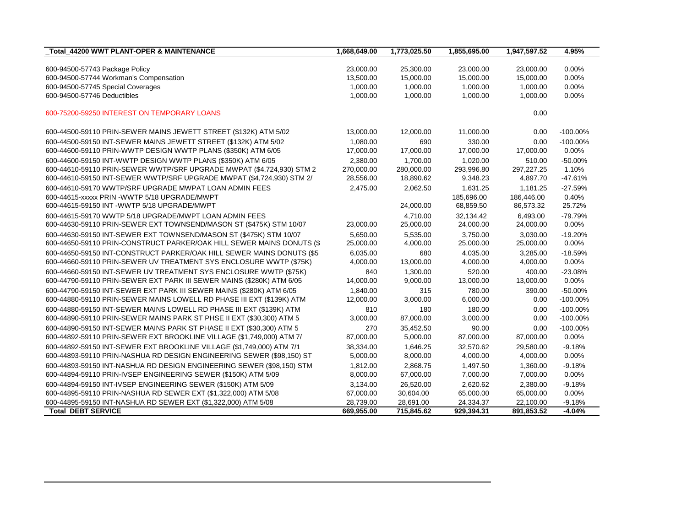| Total 44200 WWT PLANT-OPER & MAINTENANCE                              | 1,668,649.00 | 1,773,025.50 | 1,855,695.00 | 1,947,597.52 | 4.95%       |
|-----------------------------------------------------------------------|--------------|--------------|--------------|--------------|-------------|
|                                                                       |              |              |              |              |             |
| 600-94500-57743 Package Policy                                        | 23,000.00    | 25,300.00    | 23,000.00    | 23,000.00    | 0.00%       |
| 600-94500-57744 Workman's Compensation                                | 13,500.00    | 15,000.00    | 15,000.00    | 15,000.00    | 0.00%       |
| 600-94500-57745 Special Coverages                                     | 1,000.00     | 1,000.00     | 1,000.00     | 1,000.00     | 0.00%       |
| 600-94500-57746 Deductibles                                           | 1,000.00     | 1,000.00     | 1,000.00     | 1,000.00     | 0.00%       |
| 600-75200-59250 INTEREST ON TEMPORARY LOANS                           |              |              |              | 0.00         |             |
| 600-44500-59110 PRIN-SEWER MAINS JEWETT STREET (\$132K) ATM 5/02      | 13,000.00    | 12,000.00    | 11,000.00    | 0.00         | $-100.00\%$ |
| 600-44500-59150 INT-SEWER MAINS JEWETT STREET (\$132K) ATM 5/02       | 1,080.00     | 690          | 330.00       | 0.00         | $-100.00\%$ |
| 600-44600-59110 PRIN-WWTP DESIGN WWTP PLANS (\$350K) ATM 6/05         | 17,000.00    | 17,000.00    | 17,000.00    | 17,000.00    | 0.00%       |
| 600-44600-59150 INT-WWTP DESIGN WWTP PLANS (\$350K) ATM 6/05          | 2,380.00     | 1,700.00     | 1,020.00     | 510.00       | $-50.00%$   |
| 600-44610-59110 PRIN-SEWER WWTP/SRF UPGRADE MWPAT (\$4,724,930) STM 2 | 270,000.00   | 280,000.00   | 293,996.80   | 297,227.25   | 1.10%       |
| 600-44610-59150 INT-SEWER WWTP/SRF UPGRADE MWPAT (\$4,724,930) STM 2/ | 28,556.00    | 18,890.62    | 9,348.23     | 4,897.70     | $-47.61%$   |
| 600-44610-59170 WWTP/SRF UPGRADE MWPAT LOAN ADMIN FEES                | 2,475.00     | 2,062.50     | 1,631.25     | 1,181.25     | $-27.59%$   |
| 600-44615-xxxxx PRIN -WWTP 5/18 UPGRADE/MWPT                          |              |              | 185,696.00   | 186,446.00   | 0.40%       |
| 600-44615-59150 INT -WWTP 5/18 UPGRADE/MWPT                           |              | 24,000.00    | 68,859.50    | 86,573.32    | 25.72%      |
| 600-44615-59170 WWTP 5/18 UPGRADE/MWPT LOAN ADMIN FEES                |              | 4.710.00     | 32.134.42    | 6.493.00     | $-79.79%$   |
| 600-44630-59110 PRIN-SEWER EXT TOWNSEND/MASON ST (\$475K) STM 10/07   | 23,000.00    | 25,000.00    | 24,000.00    | 24,000.00    | 0.00%       |
| 600-44630-59150 INT-SEWER EXT TOWNSEND/MASON ST (\$475K) STM 10/07    | 5.650.00     | 5,535.00     | 3.750.00     | 3.030.00     | $-19.20%$   |
| 600-44650-59110 PRIN-CONSTRUCT PARKER/OAK HILL SEWER MAINS DONUTS (\$ | 25,000.00    | 4,000.00     | 25,000.00    | 25,000.00    | 0.00%       |
| 600-44650-59150 INT-CONSTRUCT PARKER/OAK HILL SEWER MAINS DONUTS (\$5 | 6.035.00     | 680          | 4,035.00     | 3.285.00     | $-18.59%$   |
| 600-44660-59110 PRIN-SEWER UV TREATMENT SYS ENCLOSURE WWTP (\$75K)    | 4,000.00     | 13,000.00    | 4,000.00     | 4,000.00     | 0.00%       |
| 600-44660-59150 INT-SEWER UV TREATMENT SYS ENCLOSURE WWTP (\$75K)     | 840          | 1,300.00     | 520.00       | 400.00       | $-23.08%$   |
| 600-44790-59110 PRIN-SEWER EXT PARK III SEWER MAINS (\$280K) ATM 6/05 | 14,000.00    | 9,000.00     | 13,000.00    | 13,000.00    | 0.00%       |
| 600-44790-59150 INT-SEWER EXT PARK III SEWER MAINS (\$280K) ATM 6/05  | 1,840.00     | 315          | 780.00       | 390.00       | $-50.00\%$  |
| 600-44880-59110 PRIN-SEWER MAINS LOWELL RD PHASE III EXT (\$139K) ATM | 12,000.00    | 3,000.00     | 6,000.00     | 0.00         | $-100.00\%$ |
| 600-44880-59150 INT-SEWER MAINS LOWELL RD PHASE III EXT (\$139K) ATM  | 810          | 180          | 180.00       | 0.00         | $-100.00\%$ |
| 600-44890-59110 PRIN-SEWER MAINS PARK ST PHSE II EXT (\$30,300) ATM 5 | 3,000.00     | 87,000.00    | 3,000.00     | 0.00         | $-100.00\%$ |
| 600-44890-59150 INT-SEWER MAINS PARK ST PHASE II EXT (\$30,300) ATM 5 | 270          | 35,452.50    | 90.00        | 0.00         | $-100.00\%$ |
| 600-44892-59110 PRIN-SEWER EXT BROOKLINE VILLAGE (\$1,749,000) ATM 7/ | 87,000.00    | 5,000.00     | 87,000.00    | 87,000.00    | 0.00%       |
| 600-44892-59150 INT-SEWER EXT BROOKLINE VILLAGE (\$1,749,000) ATM 7/1 | 38.334.00    | 1,646.25     | 32.570.62    | 29.580.00    | $-9.18%$    |
| 600-44893-59110 PRIN-NASHUA RD DESIGN ENGINEERING SEWER (\$98,150) ST | 5,000.00     | 8,000.00     | 4,000.00     | 4,000.00     | 0.00%       |
| 600-44893-59150 INT-NASHUA RD DESIGN ENGINEERING SEWER (\$98,150) STM | 1,812.00     | 2,868.75     | 1,497.50     | 1,360.00     | $-9.18%$    |
| 600-44894-59110 PRIN-IVSEP ENGINEERING SEWER (\$150K) ATM 5/09        | 8,000.00     | 67,000.00    | 7,000.00     | 7,000.00     | 0.00%       |
| 600-44894-59150 INT-IVSEP ENGINEERING SEWER (\$150K) ATM 5/09         | 3,134.00     | 26,520.00    | 2,620.62     | 2,380.00     | $-9.18%$    |
| 600-44895-59110 PRIN-NASHUA RD SEWER EXT (\$1,322,000) ATM 5/08       | 67,000.00    | 30,604.00    | 65,000.00    | 65,000.00    | 0.00%       |
| 600-44895-59150 INT-NASHUA RD SEWER EXT (\$1,322,000) ATM 5/08        | 28,739.00    | 28,691.00    | 24,334.37    | 22,100.00    | $-9.18%$    |
| <b>Total DEBT SERVICE</b>                                             | 669,955.00   | 715,845.62   | 929,394.31   | 891,853.52   | $-4.04%$    |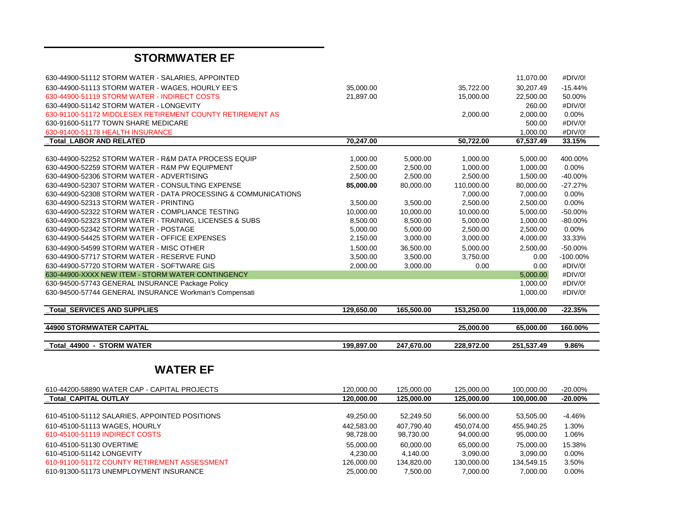## **STORMWATER EF**

| 630-44900-51112 STORM WATER - SALARIES, APPOINTED              |            |            |            | 11,070.00  | #DIV/0!     |
|----------------------------------------------------------------|------------|------------|------------|------------|-------------|
| 630-44900-51113 STORM WATER - WAGES, HOURLY EE'S               | 35,000.00  |            | 35,722.00  | 30,207.49  | $-15.44%$   |
| 630-44900-51119 STORM WATER - INDIRECT COSTS                   | 21,897.00  |            | 15,000.00  | 22,500.00  | 50.00%      |
| 630-44900-51142 STORM WATER - LONGEVITY                        |            |            |            | 260.00     | #DIV/0!     |
| 630-91100-51172 MIDDLESEX RETIREMENT COUNTY RETIREMENT AS      |            |            | 2,000.00   | 2,000.00   | 0.00%       |
| 630-91600-51177 TOWN SHARE MEDICARE                            |            |            |            | 500.00     | #DIV/0!     |
| 630-91400-51178 HEALTH INSURANCE                               |            |            |            | 1,000.00   | #DIV/0!     |
| Total_LABOR AND RELATED                                        | 70,247.00  |            | 50,722.00  | 67,537.49  | 33.15%      |
|                                                                |            |            |            |            |             |
| 630-44900-52252 STORM WATER - R&M DATA PROCESS EQUIP           | 1,000.00   | 5,000.00   | 1,000.00   | 5,000.00   | 400.00%     |
| 630-44900-52259 STORM WATER - R&M PW EQUIPMENT                 | 2,500.00   | 2,500.00   | 1,000.00   | 1,000.00   | 0.00%       |
| 630-44900-52306 STORM WATER - ADVERTISING                      | 2,500.00   | 2,500.00   | 2,500.00   | 1,500.00   | $-40.00%$   |
| 630-44900-52307 STORM WATER - CONSULTING EXPENSE               | 85,000.00  | 80,000.00  | 110,000.00 | 80,000.00  | $-27.27%$   |
| 630-44900-52308 STORM WATER - DATA PROCESSING & COMMUNICATIONS |            |            | 7,000.00   | 7,000.00   | 0.00%       |
| 630-44900-52313 STORM WATER - PRINTING                         | 3,500.00   | 3,500.00   | 2,500.00   | 2,500.00   | 0.00%       |
| 630-44900-52322 STORM WATER - COMPLIANCE TESTING               | 10,000.00  | 10,000.00  | 10,000.00  | 5,000.00   | $-50.00%$   |
| 630-44900-52323 STORM WATER - TRAINING, LICENSES & SUBS        | 8,500.00   | 8,500.00   | 5,000.00   | 1,000.00   | $-80.00%$   |
| 630-44900-52342 STORM WATER - POSTAGE                          | 5,000.00   | 5,000.00   | 2,500.00   | 2,500.00   | 0.00%       |
| 630-44900-54425 STORM WATER - OFFICE EXPENSES                  | 2,150.00   | 3,000.00   | 3,000.00   | 4,000.00   | 33.33%      |
| 630-44900-54599 STORM WATER - MISC OTHER                       | 1,500.00   | 36,500.00  | 5,000.00   | 2,500.00   | $-50.00%$   |
| 630-44900-57717 STORM WATER - RESERVE FUND                     | 3,500.00   | 3,500.00   | 3,750.00   | 0.00       | $-100.00\%$ |
| 630-44900-57720 STORM WATER - SOFTWARE GIS                     | 2,000.00   | 3,000.00   | 0.00       | 0.00       | #DIV/0!     |
| 630-44900-XXXX NEW ITEM - STORM WATER CONTINGENCY              |            |            |            | 5,000.00   | #DIV/0!     |
| 630-94500-57743 GENERAL INSURANCE Package Policy               |            |            |            | 1,000.00   | #DIV/0!     |
| 630-94500-57744 GENERAL INSURANCE Workman's Compensati         |            |            |            | 1,000.00   | #DIV/0!     |
| <b>Total SERVICES AND SUPPLIES</b>                             | 129,650.00 | 165,500.00 | 153,250.00 | 119,000.00 | $-22.35%$   |
|                                                                |            |            |            |            |             |
| <b>44900 STORMWATER CAPITAL</b>                                |            |            | 25,000.00  | 65,000.00  | 160.00%     |
|                                                                |            |            |            |            |             |
| Total 44900 - STORM WATER                                      | 199,897.00 | 247,670.00 | 228,972.00 | 251,537.49 | 9.86%       |
|                                                                |            |            |            |            |             |
| <b>WATER EF</b>                                                |            |            |            |            |             |
|                                                                |            |            |            |            |             |
| 610-44200-58890 WATER CAP - CAPITAL PROJECTS                   | 120,000.00 | 125,000.00 | 125,000.00 | 100,000.00 | $-20.00%$   |
| <b>Total CAPITAL OUTLAY</b>                                    | 120,000.00 | 125,000.00 | 125,000.00 | 100,000.00 | $-20.00%$   |
|                                                                |            |            |            |            |             |
| 610-45100-51112 SALARIES, APPOINTED POSITIONS                  | 49,250.00  | 52,249.50  | 56,000.00  | 53,505.00  | $-4.46%$    |
| 610-45100-51113 WAGES, HOURLY                                  | 442,583.00 | 407,790.40 | 450,074.00 | 455,940.25 | 1.30%       |
| 610-45100-51119 INDIRECT COSTS                                 | 98,728.00  | 98,730.00  | 94,000.00  | 95,000.00  | 1.06%       |
| 610-45100-51130 OVERTIME                                       | 55,000.00  | 60,000.00  | 65,000.00  | 75,000.00  | 15.38%      |
| 610-45100-51142 LONGEVITY                                      | 4,230.00   | 4,140.00   | 3.090.00   | 3,090.00   | 0.00%       |
| 610-91100-51172 COUNTY RETIREMENT ASSESSMENT                   | 126,000.00 | 134,820.00 | 130,000.00 | 134,549.15 | 3.50%       |

610-91300-51173 UNEMPLOYMENT INSURANCE 25,000.00 7,500.00 7,000.00 7,000.00 0.00%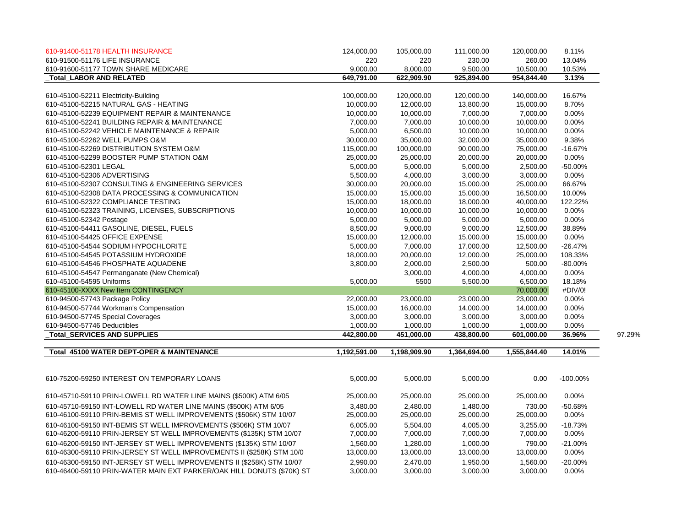| 610-91400-51178 HEALTH INSURANCE                                      | 124,000.00   | 105,000.00   | 111,000.00   | 120,000.00   | 8.11%       |        |
|-----------------------------------------------------------------------|--------------|--------------|--------------|--------------|-------------|--------|
| 610-91500-51176 LIFE INSURANCE                                        | 220          | 220          | 230.00       | 260.00       | 13.04%      |        |
| 610-91600-51177 TOWN SHARE MEDICARE                                   | 9,000.00     | 8,000.00     | 9,500.00     | 10,500.00    | 10.53%      |        |
| <b>Total LABOR AND RELATED</b>                                        | 649,791.00   | 622,909.90   | 925,894.00   | 954,844.40   | 3.13%       |        |
|                                                                       |              |              |              |              |             |        |
| 610-45100-52211 Electricity-Building                                  | 100,000.00   | 120,000.00   | 120,000.00   | 140,000.00   | 16.67%      |        |
| 610-45100-52215 NATURAL GAS - HEATING                                 | 10,000.00    | 12,000.00    | 13,800.00    | 15,000.00    | 8.70%       |        |
| 610-45100-52239 EQUIPMENT REPAIR & MAINTENANCE                        | 10,000.00    | 10,000.00    | 7,000.00     | 7,000.00     | 0.00%       |        |
| 610-45100-52241 BUILDING REPAIR & MAINTENANCE                         | 7,000.00     | 7,000.00     | 10,000.00    | 10,000.00    | 0.00%       |        |
| 610-45100-52242 VEHICLE MAINTENANCE & REPAIR                          | 5,000.00     | 6,500.00     | 10,000.00    | 10,000.00    | 0.00%       |        |
| 610-45100-52262 WELL PUMPS O&M                                        | 30,000.00    | 35,000.00    | 32,000.00    | 35,000.00    | 9.38%       |        |
| 610-45100-52269 DISTRIBUTION SYSTEM O&M                               | 115,000.00   | 100,000.00   | 90,000.00    | 75,000.00    | $-16.67%$   |        |
| 610-45100-52299 BOOSTER PUMP STATION O&M                              | 25,000.00    | 25,000.00    | 20,000.00    | 20,000.00    | 0.00%       |        |
| 610-45100-52301 LEGAL                                                 | 5,000.00     | 5,000.00     | 5,000.00     | 2,500.00     | $-50.00%$   |        |
| 610-45100-52306 ADVERTISING                                           | 5,500.00     | 4,000.00     | 3,000.00     | 3,000.00     | 0.00%       |        |
| 610-45100-52307 CONSULTING & ENGINEERING SERVICES                     | 30,000.00    | 20,000.00    | 15,000.00    | 25,000.00    | 66.67%      |        |
| 610-45100-52308 DATA PROCESSING & COMMUNICATION                       | 15,000.00    | 15,000.00    | 15,000.00    | 16,500.00    | 10.00%      |        |
| 610-45100-52322 COMPLIANCE TESTING                                    | 15,000.00    | 18,000.00    | 18,000.00    | 40,000.00    | 122.22%     |        |
| 610-45100-52323 TRAINING, LICENSES, SUBSCRIPTIONS                     | 10,000.00    | 10,000.00    | 10,000.00    | 10,000.00    | 0.00%       |        |
| 610-45100-52342 Postage                                               | 5,000.00     | 5,000.00     | 5,000.00     | 5,000.00     | 0.00%       |        |
| 610-45100-54411 GASOLINE, DIESEL, FUELS                               | 8,500.00     | 9,000.00     | 9,000.00     | 12,500.00    | 38.89%      |        |
| 610-45100-54425 OFFICE EXPENSE                                        | 15,000.00    | 12,000.00    | 15,000.00    | 15,000.00    | 0.00%       |        |
| 610-45100-54544 SODIUM HYPOCHLORITE                                   | 5,000.00     | 7,000.00     | 17,000.00    | 12,500.00    | $-26.47%$   |        |
| 610-45100-54545 POTASSIUM HYDROXIDE                                   | 18,000.00    | 20,000.00    | 12,000.00    | 25,000.00    | 108.33%     |        |
| 610-45100-54546 PHOSPHATE AQUADENE                                    | 3,800.00     | 2,000.00     | 2,500.00     | 500.00       | $-80.00\%$  |        |
| 610-45100-54547 Permanganate (New Chemical)                           |              | 3,000.00     | 4,000.00     | 4,000.00     | 0.00%       |        |
| 610-45100-54595 Uniforms                                              | 5,000.00     | 5500         | 5,500.00     | 6,500.00     | 18.18%      |        |
| 610-45100-XXXX New Item CONTINGENCY                                   |              |              |              | 70,000.00    | #DIV/0!     |        |
| 610-94500-57743 Package Policy                                        | 22,000.00    | 23,000.00    | 23,000.00    | 23,000.00    | 0.00%       |        |
| 610-94500-57744 Workman's Compensation                                | 15,000.00    | 16,000.00    | 14,000.00    | 14,000.00    | 0.00%       |        |
| 610-94500-57745 Special Coverages                                     | 3,000.00     | 3,000.00     | 3,000.00     | 3,000.00     | 0.00%       |        |
| 610-94500-57746 Deductibles                                           | 1,000.00     | 1,000.00     | 1,000.00     | 1,000.00     | 0.00%       |        |
| <b>Total_SERVICES AND SUPPLIES</b>                                    | 442,800.00   | 451,000.00   | 438,800.00   | 601,000.00   | 36.96%      | 97.29% |
|                                                                       |              |              |              |              |             |        |
| Total_45100 WATER DEPT-OPER & MAINTENANCE                             | 1,192,591.00 | 1,198,909.90 | 1,364,694.00 | 1,555,844.40 | 14.01%      |        |
|                                                                       |              |              |              |              |             |        |
| 610-75200-59250 INTEREST ON TEMPORARY LOANS                           | 5,000.00     | 5,000.00     | 5,000.00     | 0.00         | $-100.00\%$ |        |
| 610-45710-59110 PRIN-LOWELL RD WATER LINE MAINS (\$500K) ATM 6/05     | 25,000.00    | 25,000.00    | 25,000.00    | 25,000.00    | 0.00%       |        |
| 610-45710-59150 INT-LOWELL RD WATER LINE MAINS (\$500K) ATM 6/05      | 3,480.00     | 2,480.00     | 1,480.00     | 730.00       | $-50.68%$   |        |
| 610-46100-59110 PRIN-BEMIS ST WELL IMPROVEMENTS (\$506K) STM 10/07    | 25,000.00    | 25,000.00    | 25,000.00    | 25,000.00    | 0.00%       |        |
| 610-46100-59150 INT-BEMIS ST WELL IMPROVEMENTS (\$506K) STM 10/07     | 6,005.00     | 5,504.00     | 4,005.00     | 3,255.00     | $-18.73%$   |        |
| 610-46200-59110 PRIN-JERSEY ST WELL IMPROVEMENTS (\$135K) STM 10/07   | 7,000.00     | 7,000.00     | 7,000.00     | 7,000.00     | 0.00%       |        |
|                                                                       |              |              |              |              |             |        |
| 610-46200-59150 INT-JERSEY ST WELL IMPROVEMENTS (\$135K) STM 10/07    | 1,560.00     | 1,280.00     | 1,000.00     | 790.00       | $-21.00%$   |        |
| 610-46300-59110 PRIN-JERSEY ST WELL IMPROVEMENTS II (\$258K) STM 10/0 | 13,000.00    | 13,000.00    | 13,000.00    | 13,000.00    | 0.00%       |        |
| 610-46300-59150 INT-JERSEY ST WELL IMPROVEMENTS II (\$258K) STM 10/07 | 2,990.00     | 2,470.00     | 1,950.00     | 1,560.00     | $-20.00%$   |        |
| 610-46400-59110 PRIN-WATER MAIN EXT PARKER/OAK HILL DONUTS (\$70K) ST | 3,000.00     | 3,000.00     | 3,000.00     | 3,000.00     | 0.00%       |        |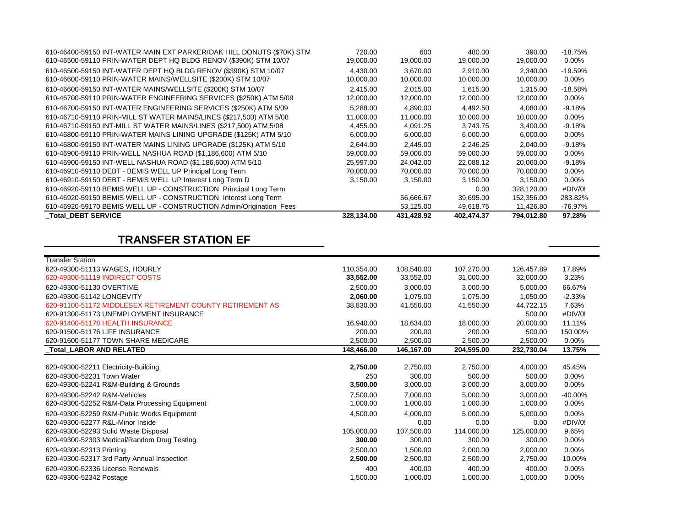| 610-46400-59150 INT-WATER MAIN EXT PARKER/OAK HILL DONUTS (\$70K) STM | 720.00     | 600        | 480.00     | 390.00     | $-18.75%$ |
|-----------------------------------------------------------------------|------------|------------|------------|------------|-----------|
| 610-46500-59110 PRIN-WATER DEPT HQ BLDG RENOV (\$390K) STM 10/07      | 19,000.00  | 19,000.00  | 19,000.00  | 19,000.00  | 0.00%     |
| 610-46500-59150 INT-WATER DEPT HQ BLDG RENOV (\$390K) STM 10/07       | 4.430.00   | 3.670.00   | 2.910.00   | 2.340.00   | $-19.59%$ |
| 610-46600-59110 PRIN-WATER MAINS/WELLSITE (\$200K) STM 10/07          | 10,000.00  | 10,000.00  | 10,000.00  | 10,000.00  | $0.00\%$  |
| 610-46600-59150 INT-WATER MAINS/WELLSITE (\$200K) STM 10/07           | 2.415.00   | 2.015.00   | 1.615.00   | 1.315.00   | $-18.58%$ |
| 610-46700-59110 PRIN-WATER ENGINEERING SERVICES (\$250K) ATM 5/09     | 12,000.00  | 12,000.00  | 12,000.00  | 12,000.00  | 0.00%     |
| 610-46700-59150 INT-WATER ENGINEERING SERVICES (\$250K) ATM 5/09      | 5.288.00   | 4.890.00   | 4.492.50   | 4.080.00   | $-9.18%$  |
| 610-46710-59110 PRIN-MILL ST WATER MAINS/LINES (\$217,500) ATM 5/08   | 11,000.00  | 11.000.00  | 10.000.00  | 10,000.00  | $0.00\%$  |
| 610-46710-59150 INT-MILL ST WATER MAINS/LINES (\$217,500) ATM 5/08    | 4,455.00   | 4.091.25   | 3.743.75   | 3,400.00   | $-9.18%$  |
| 610-46800-59110 PRIN-WATER MAINS LINING UPGRADE (\$125K) ATM 5/10     | 6,000.00   | 6,000.00   | 6,000.00   | 6,000.00   | 0.00%     |
| 610-46800-59150 INT-WATER MAINS LINING UPGRADE (\$125K) ATM 5/10      | 2,644.00   | 2.445.00   | 2.246.25   | 2,040.00   | $-9.18%$  |
| 610-46900-59110 PRIN-WELL NASHUA ROAD (\$1,186,600) ATM 5/10          | 59,000.00  | 59,000.00  | 59.000.00  | 59,000.00  | $0.00\%$  |
| 610-46900-59150 INT-WELL NASHUA ROAD (\$1,186,600) ATM 5/10           | 25,997.00  | 24,042.00  | 22,088.12  | 20,060.00  | $-9.18%$  |
| 610-46910-59110 DEBT - BEMIS WELL UP Principal Long Term              | 70,000.00  | 70,000.00  | 70,000.00  | 70,000.00  | $0.00\%$  |
| 610-46910-59150 DEBT - BEMIS WELL UP Interest Long Term D             | 3,150.00   | 3,150.00   | 3.150.00   | 3,150.00   | $0.00\%$  |
| 610-46920-59110 BEMIS WELL UP - CONSTRUCTION Principal Long Term      |            |            | 0.00       | 328,120.00 | #DIV/0!   |
| 610-46920-59150 BEMIS WELL UP - CONSTRUCTION Interest Long Term       |            | 56,666.67  | 39,695.00  | 152,356.00 | 283.82%   |
| 610-46920-59170 BEMIS WELL UP - CONSTRUCTION Admin/Origination Fees   |            | 53,125.00  | 49,618.75  | 11,426.80  | -76.97%   |
| <b>Total DEBT SERVICE</b>                                             | 328,134.00 | 431,428.92 | 402,474.37 | 794,012.80 | 97.28%    |

## **TRANSFER STATION EF**

| <b>Transfer Station</b>                                   |            |            |            |            |            |
|-----------------------------------------------------------|------------|------------|------------|------------|------------|
| 620-49300-51113 WAGES, HOURLY                             | 110,354.00 | 108,540.00 | 107,270.00 | 126,457.89 | 17.89%     |
| 620-49300-51119 INDIRECT COSTS                            | 33,552.00  | 33,552.00  | 31,000.00  | 32,000.00  | 3.23%      |
| 620-49300-51130 OVERTIME                                  | 2,500.00   | 3,000.00   | 3,000.00   | 5,000.00   | 66.67%     |
| 620-49300-51142 LONGEVITY                                 | 2,060.00   | 1,075.00   | 1,075.00   | 1,050.00   | $-2.33%$   |
| 620-91100-51172 MIDDLESEX RETIREMENT COUNTY RETIREMENT AS | 38,830.00  | 41,550.00  | 41,550.00  | 44,722.15  | 7.63%      |
| 620-91300-51173 UNEMPLOYMENT INSURANCE                    |            |            |            | 500.00     | #DIV/0!    |
| 620-91400-51178 HEALTH INSURANCE                          | 16,940.00  | 18,634.00  | 18,000.00  | 20,000.00  | 11.11%     |
| 620-91500-51176 LIFE INSURANCE                            | 200.00     | 200.00     | 200.00     | 500.00     | 150.00%    |
| 620-91600-51177 TOWN SHARE MEDICARE                       | 2,500.00   | 2,500.00   | 2,500.00   | 2,500.00   | $0.00\%$   |
| Total_LABOR AND RELATED                                   | 148,466.00 | 146,167.00 | 204,595.00 | 232,730.04 | 13.75%     |
|                                                           |            |            |            |            |            |
| 620-49300-52211 Electricity-Building                      | 2,750.00   | 2,750.00   | 2,750.00   | 4,000.00   | 45.45%     |
| 620-49300-52231 Town Water                                | 250        | 300.00     | 500.00     | 500.00     | $0.00\%$   |
| 620-49300-52241 R&M-Building & Grounds                    | 3,500.00   | 3,000.00   | 3,000.00   | 3,000.00   | $0.00\%$   |
| 620-49300-52242 R&M-Vehicles                              | 7,500.00   | 7,000.00   | 5,000.00   | 3,000.00   | $-40.00\%$ |
| 620-49300-52252 R&M-Data Processing Equipment             | 1,000.00   | 1,000.00   | 1,000.00   | 1,000.00   | $0.00\%$   |
| 620-49300-52259 R&M-Public Works Equipment                | 4,500.00   | 4,000.00   | 5,000.00   | 5,000.00   | 0.00%      |
| 620-49300-52277 R&L-Minor Inside                          |            | 0.00       | 0.00       | 0.00       | #DIV/0!    |
| 620-49300-52293 Solid Waste Disposal                      | 105,000.00 | 107,500.00 | 114,000.00 | 125,000.00 | 9.65%      |
| 620-49300-52303 Medical/Random Drug Testing               | 300.00     | 300.00     | 300.00     | 300.00     | $0.00\%$   |
| 620-49300-52313 Printing                                  | 2,500.00   | 1,500.00   | 2,000.00   | 2.000.00   | 0.00%      |
| 620-49300-52317 3rd Party Annual Inspection               | 2,500.00   | 2,500.00   | 2,500.00   | 2,750.00   | 10.00%     |
| 620-49300-52336 License Renewals                          | 400        | 400.00     | 400.00     | 400.00     | $0.00\%$   |
| 620-49300-52342 Postage                                   | 1,500.00   | 1,000.00   | 1.000.00   | 1,000.00   | $0.00\%$   |